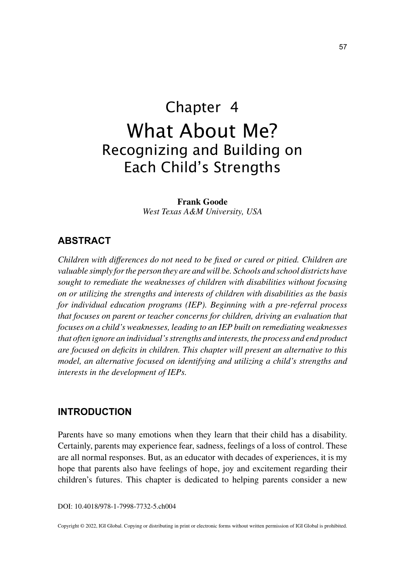# Chapter 4 What About Me? Recognizing and Building on Each Child's Strengths

**Frank Goode** *West Texas A&M University, USA*

### **ABSTRACT**

*Children with differences do not need to be fixed or cured or pitied. Children are valuable simply for the person they are and will be. Schools and school districts have sought to remediate the weaknesses of children with disabilities without focusing on or utilizing the strengths and interests of children with disabilities as the basis for individual education programs (IEP). Beginning with a pre-referral process that focuses on parent or teacher concerns for children, driving an evaluation that focuses on a child's weaknesses, leading to an IEP built on remediating weaknesses that often ignore an individual's strengths and interests, the process and end product are focused on deficits in children. This chapter will present an alternative to this model, an alternative focused on identifying and utilizing a child's strengths and interests in the development of IEPs.*

### **INTRODUCTION**

Parents have so many emotions when they learn that their child has a disability. Certainly, parents may experience fear, sadness, feelings of a loss of control. These are all normal responses. But, as an educator with decades of experiences, it is my hope that parents also have feelings of hope, joy and excitement regarding their children's futures. This chapter is dedicated to helping parents consider a new

DOI: 10.4018/978-1-7998-7732-5.ch004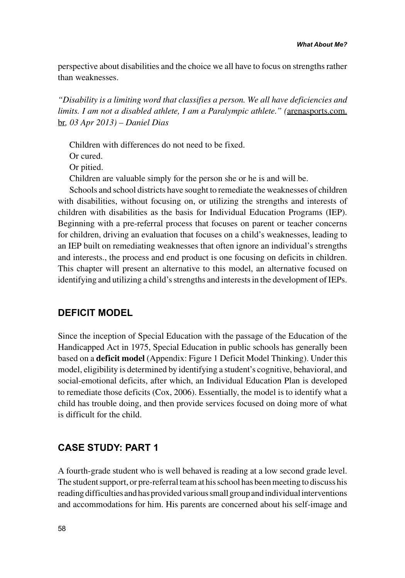perspective about disabilities and the choice we all have to focus on strengths rather than weaknesses.

*"Disability is a limiting word that classifies a person. We all have deficiencies and limits. I am not a disabled athlete, I am a Paralympic athlete." (*arenasports.com. br*, 03 Apr 2013) – Daniel Dias*

Children with differences do not need to be fixed.

Or cured.

Or pitied.

Children are valuable simply for the person she or he is and will be.

Schools and school districts have sought to remediate the weaknesses of children with disabilities, without focusing on, or utilizing the strengths and interests of children with disabilities as the basis for Individual Education Programs (IEP). Beginning with a pre-referral process that focuses on parent or teacher concerns for children, driving an evaluation that focuses on a child's weaknesses, leading to an IEP built on remediating weaknesses that often ignore an individual's strengths and interests., the process and end product is one focusing on deficits in children. This chapter will present an alternative to this model, an alternative focused on identifying and utilizing a child's strengths and interests in the development of IEPs.

## **DEFICIT MODEL**

Since the inception of Special Education with the passage of the Education of the Handicapped Act in 1975, Special Education in public schools has generally been based on a **deficit model** (Appendix: Figure 1 Deficit Model Thinking). Under this model, eligibility is determined by identifying a student's cognitive, behavioral, and social-emotional deficits, after which, an Individual Education Plan is developed to remediate those deficits (Cox, 2006). Essentially, the model is to identify what a child has trouble doing, and then provide services focused on doing more of what is difficult for the child.

### **CASE STUDY: PART 1**

A fourth-grade student who is well behaved is reading at a low second grade level. The student support, or pre-referral team at his school has been meeting to discuss his reading difficulties and has provided various small group and individual interventions and accommodations for him. His parents are concerned about his self-image and